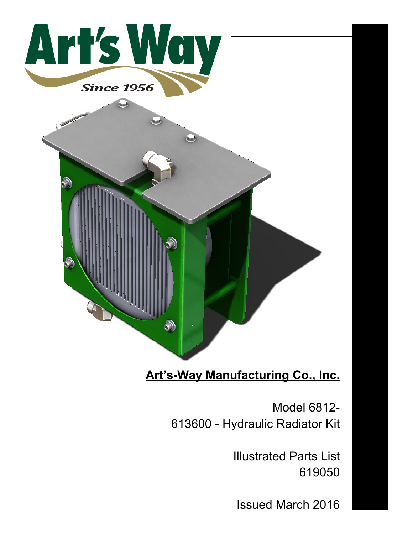

## **Art's-Way Manufacturing Co., Inc.**

Model 6812- 613600 - Hydraulic Radiator Kit

> Illustrated Parts List 619050

Issued March 2016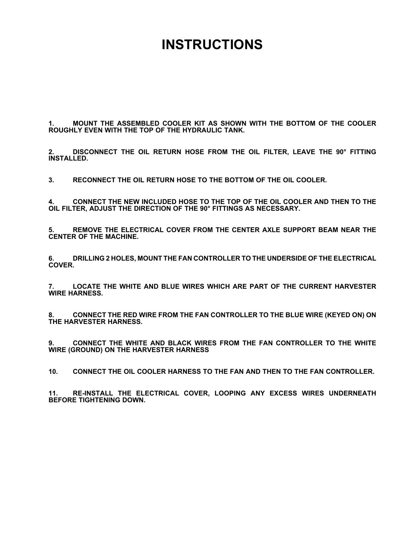## **INSTRUCTIONS**

**1. MOUNT THE ASSEMBLED COOLER KIT AS SHOWN WITH THE BOTTOM OF THE COOLER ROUGHLY EVEN WITH THE TOP OF THE HYDRAULIC TANK.**

**2. DISCONNECT THE OIL RETURN HOSE FROM THE OIL FILTER, LEAVE THE 90° FITTING INSTALLED.**

**3. RECONNECT THE OIL RETURN HOSE TO THE BOTTOM OF THE OIL COOLER.**

**4. CONNECT THE NEW INCLUDED HOSE TO THE TOP OF THE OIL COOLER AND THEN TO THE OIL FILTER, ADJUST THE DIRECTION OF THE 90° FITTINGS AS NECESSARY.**

**5. REMOVE THE ELECTRICAL COVER FROM THE CENTER AXLE SUPPORT BEAM NEAR THE CENTER OF THE MACHINE.**

**6. DRILLING 2 HOLES, MOUNT THE FAN CONTROLLER TO THE UNDERSIDE OF THE ELECTRICAL COVER.**

**7. LOCATE THE WHITE AND BLUE WIRES WHICH ARE PART OF THE CURRENT HARVESTER WIRE HARNESS.**

**8. CONNECT THE RED WIRE FROM THE FAN CONTROLLER TO THE BLUE WIRE (KEYED ON) ON THE HARVESTER HARNESS.**

**9. CONNECT THE WHITE AND BLACK WIRES FROM THE FAN CONTROLLER TO THE WHITE WIRE (GROUND) ON THE HARVESTER HARNESS**

**10. CONNECT THE OIL COOLER HARNESS TO THE FAN AND THEN TO THE FAN CONTROLLER.**

**11. RE-INSTALL THE ELECTRICAL COVER, LOOPING ANY EXCESS WIRES UNDERNEATH BEFORE TIGHTENING DOWN.**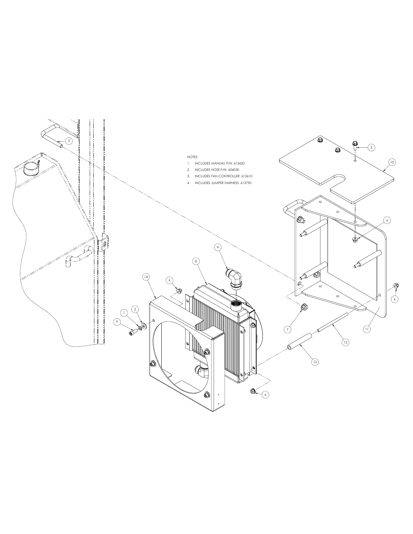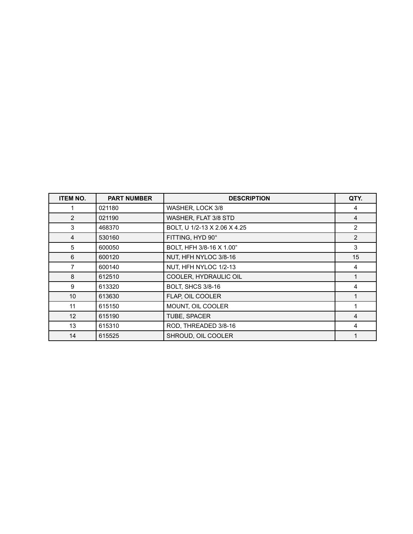| <b>ITEM NO.</b> | <b>PART NUMBER</b> | <b>DESCRIPTION</b>           | QTY.           |
|-----------------|--------------------|------------------------------|----------------|
|                 | 021180             | WASHER, LOCK 3/8             | 4              |
| 2               | 021190             | WASHER, FLAT 3/8 STD         | $\overline{4}$ |
| 3               | 468370             | BOLT, U 1/2-13 X 2.06 X 4.25 | $\overline{2}$ |
| 4               | 530160             | FITTING, HYD 90°             | 2              |
| 5               | 600050             | BOLT, HFH 3/8-16 X 1.00"     | 3              |
| 6               | 600120             | NUT, HFH NYLOC 3/8-16        | 15             |
| 7               | 600140             | NUT, HFH NYLOC 1/2-13        | 4              |
| 8               | 612510             | COOLER, HYDRAULIC OIL        |                |
| 9               | 613320             | <b>BOLT, SHCS 3/8-16</b>     | 4              |
| 10              | 613630             | FLAP, OIL COOLER             |                |
| 11              | 615150             | MOUNT, OIL COOLER            |                |
| 12 <sup>2</sup> | 615190             | TUBE, SPACER                 | 4              |
| 13              | 615310             | ROD, THREADED 3/8-16         | 4              |
| 14              | 615525             | SHROUD, OIL COOLER           |                |